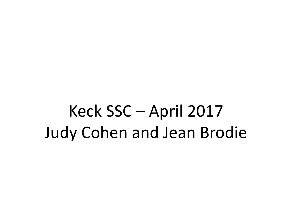Keck SSC – April 2017 Judy Cohen and Jean Brodie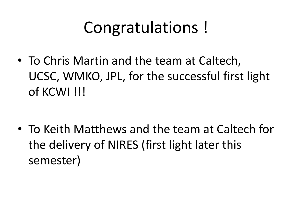# Congratulations!

• To Chris Martin and the team at Caltech, UCSC, WMKO, JPL, for the successful first light of KCWI !!!

• To Keith Matthews and the team at Caltech for the delivery of NIRES (first light later this semester)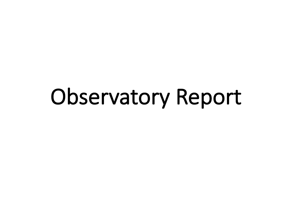# Observatory Report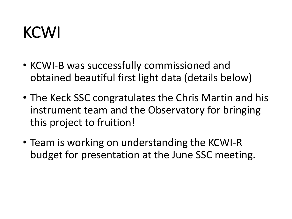## KCWI

- KCWI-B was successfully commissioned and obtained beautiful first light data (details below)
- The Keck SSC congratulates the Chris Martin and his instrument team and the Observatory for bringing this project to fruition!
- Team is working on understanding the KCWI-R budget for presentation at the June SSC meeting.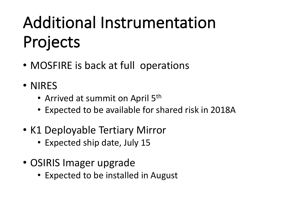# Additional Instrumentation Projects

- MOSFIRE is back at full operations
- NIRES
	- Arrived at summit on April 5<sup>th</sup>
	- Expected to be available for shared risk in 2018A
- K1 Deployable Tertiary Mirror
	- Expected ship date, July 15
- OSIRIS Imager upgrade
	- Expected to be installed in August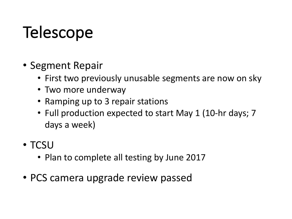# **Telescope**

- Segment Repair
	- First two previously unusable segments are now on sky
	- Two more underway
	- Ramping up to 3 repair stations
	- Full production expected to start May 1 (10-hr days; 7) days a week)
- TCSU
	- Plan to complete all testing by June 2017
- PCS camera upgrade review passed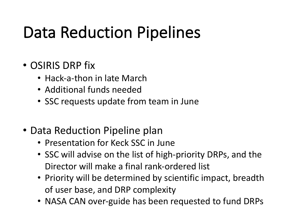# Data Reduction Pipelines

#### • OSIRIS DRP fix

- $\bullet$  Hack-a-thon in late March
- Additional funds needed
- SSC requests update from team in June
- Data Reduction Pipeline plan
	- Presentation for Keck SSC in June
	- SSC will advise on the list of high-priority DRPs, and the Director will make a final rank-ordered list
	- Priority will be determined by scientific impact, breadth of user base, and DRP complexity
	- NASA CAN over-guide has been requested to fund DRPs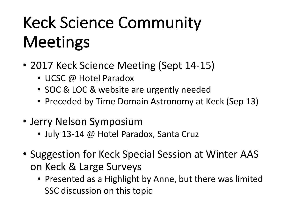# Keck Science Community **Meetings**

- 2017 Keck Science Meeting (Sept 14-15)
	- UCSC @ Hotel Paradox
	- SOC & LOC & website are urgently needed
	- Preceded by Time Domain Astronomy at Keck (Sep 13)
- Jerry Nelson Symposium
	- July 13-14 @ Hotel Paradox, Santa Cruz
- Suggestion for Keck Special Session at Winter AAS on Keck & Large Surveys
	- Presented as a Highlight by Anne, but there was limited SSC discussion on this topic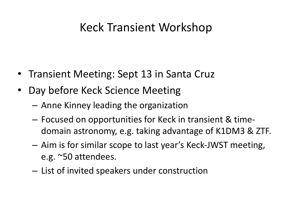#### Keck Transient Workshop

- Transient Meeting: Sept 13 in Santa Cruz
- Day before Keck Science Meeting
	- $-$  Anne Kinney leading the organization
	- $-$  Focused on opportunities for Keck in transient & timedomain astronomy, e.g. taking advantage of K1DM3 & ZTF.
	- $-$  Aim is for similar scope to last year's Keck-JWST meeting, e.g. ~50 attendees.
	- $-$  List of invited speakers under construction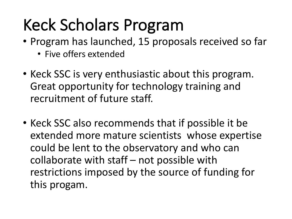# Keck Scholars Program

- Program has launched, 15 proposals received so far
	- Five offers extended
- Keck SSC is very enthusiastic about this program. Great opportunity for technology training and recruitment of future staff.
- Keck SSC also recommends that if possible it be extended more mature scientists whose expertise could be lent to the observatory and who can collaborate with staff  $-$  not possible with restrictions imposed by the source of funding for this progam.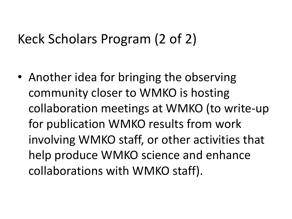#### Keck Scholars Program (2 of 2)

• Another idea for bringing the observing community closer to WMKO is hosting collaboration meetings at WMKO (to write-up for publication WMKO results from work involving WMKO staff, or other activities that help produce WMKO science and enhance collaborations with WMKO staff).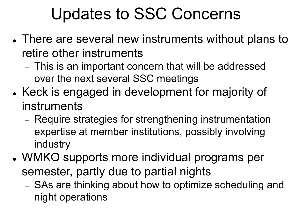## Updates to SSC Concerns

- There are several new instruments without plans to retire other instruments
	- This is an important concern that will be addressed over the next several SSC meetings
- Keck is engaged in development for majority of instruments
	- Require strategies for strengthening instrumentation expertise at member institutions, possibly involving industry
- WMKO supports more individual programs per semester, partly due to partial nights
	- SAs are thinking about how to optimize scheduling and night operations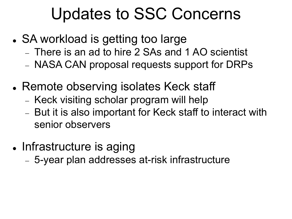### Updates to SSC Concerns

- SA workload is getting too large
	- There is an ad to hire 2 SAs and 1 AO scientist
	- NASA CAN proposal requests support for DRPs
- Remote observing isolates Keck staff
	- Keck visiting scholar program will help
	- But it is also important for Keck staff to interact with senior observers
- Infrastructure is aging
	- 5-year plan addresses at-risk infrastructure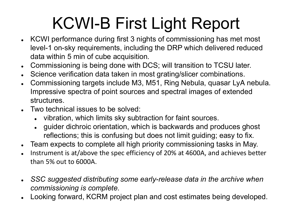# KCWI-B First Light Report

- KCWI performance during first 3 nights of commissioning has met most level-1 on-sky requirements, including the DRP which delivered reduced data within 5 min of cube acquisition.
- Commissioning is being done with DCS; will transition to TCSU later.
- Science verification data taken in most grating/slicer combinations.
- Commissioning targets include M3, M51, Ring Nebula, quasar LyA nebula. Impressive spectra of point sources and spectral images of extended structures.
- $\bullet$  Two technical issues to be solved:
	- vibration, which limits sky subtraction for faint sources.
	- guider dichroic orientation, which is backwards and produces ghost reflections; this is confusing but does not limit guiding; easy to fix.
- Team expects to complete all high priority commissioning tasks in May.
- Instrument is at/above the spec efficiency of 20% at 4600A, and achieves better than  $5%$  out to  $6000A$ .
- **SSC suggested distributing some early-release data in the archive when** *commissioning is complete.*
- Looking forward, KCRM project plan and cost estimates being developed.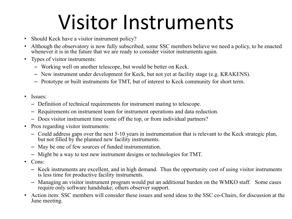# Visitor Instruments

- Should Keck have a visitor instrument policy?
- Although the observatory is now fully subscribed, some SSC members believe we need a policy, to be enacted whenever it is in the future that we are ready to consider visitor instruments again.
- Types of visitor instruments:
	- Working well on another telescope, but would be better on Keck.
	- New instrument under development for Keck, but not yet at facility stage (e.g. KRAKENS).
	- Prototype or built instruments for TMT, but of interest to Keck community for short term.
- Issues:
	- Definition of technical requirements for instrument mating to telescope.
	- Requirements on instrument team for instrument operations and data reduction.
	- Does visitor instrument time come off the top, or from individual partners?
- Pros regarding visitor instruments:
	- Could address gaps over the next 5-10 years in instrumentation that is relevant to the Keck strategic plan, but not filled by the planned new facility instruments.
	- May be one of few sources of funded instrumentation.
	- Might be a way to test new instrument designs or technologies for TMT.
- Cons:
	- Keck instruments are excellent, and in high demand. Thus the opportunity cost of using visitor instruments is less time for productive facility instruments.
	- Managing an visitor instrument program would put an additional burden on the WMKO staff. Some cases require only software handshake; others observer support.
- Action item: SSC members will consider these issues and send ideas to the SSC co-Chairs, for discussion at the June meeting.